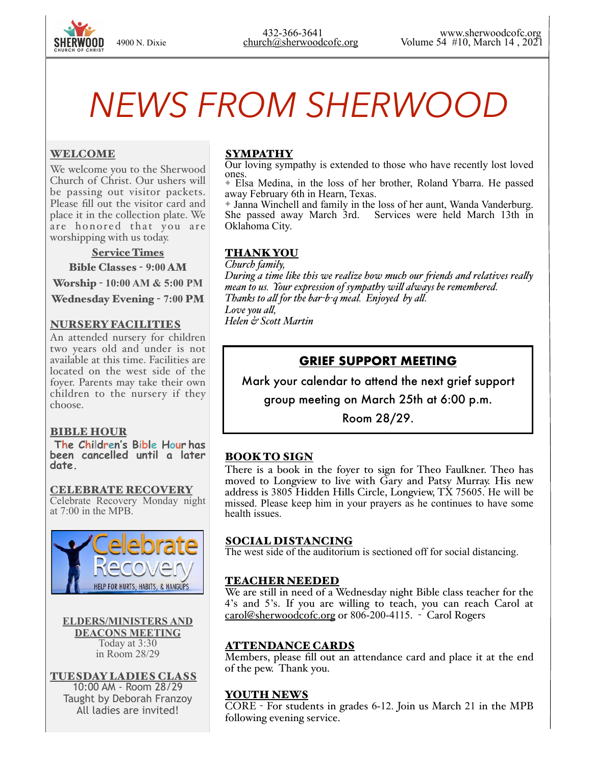# *NEWS FROM SHERWOOD*

#### WELCOME

We welcome you to the Sherwood Church of Christ. Our ushers will be passing out visitor packets. Please fill out the visitor card and place it in the collection plate. We are honored that you are worshipping with us today.

Service Times

Bible Classes - **9:00** AM

Worship - **10:00 AM & 5:00 PM** 

Wednesday Evening - **7:00** PM

#### NURSERY FACILITIES

An attended nursery for children two years old and under is not available at this time. Facilities are located on the west side of the foyer. Parents may take their own children to the nursery if they choose.

#### BIBLE HOUR

 **The Children's Bible Hour has been cancelled until a later date.** 

CELEBRATE RECOVERY Celebrate Recovery Monday night at 7:00 in the MPB.



**ELDERS/MINISTERS AND DEACONS MEETING**  Today at 3:30 in Room 28/29

TUESDAY LADIES CLASS 10:00 AM - Room 28/29 Taught by Deborah Franzoy All ladies are invited!

## **SYMPATHY**

Our loving sympathy is extended to those who have recently lost loved ones.

✦ Elsa Medina, in the loss of her brother, Roland Ybarra. He passed away February 6th in Hearn, Texas.

✦ Janna Winchell and family in the loss of her aunt, Wanda Vanderburg. She passed away March 3rd. Services were held March 13th in Oklahoma City.

#### THANK YOU

*Church family, During a time like this we realize how much our fiends and relatives realy mean to us. Your expression of sympathy wil always be remembered. Thanks to al for the bar-b-q meal. Enjoyed by al. Love you al, Helen & Scott Martin*

# **GRIEF SUPPORT MEETING**

Mark your calendar to attend the next grief support

group meeting on March 25th at 6:00 p.m.

Room 28/29.

## BOOK TO SIGN

There is a book in the foyer to sign for Theo Faulkner. Theo has moved to Longview to live with Gary and Patsy Murray. His new address is 3805 Hidden Hills Circle, Longview, TX 75605. He will be missed. Please keep him in your prayers as he continues to have some health issues.

#### SOCIAL DISTANCING

The west side of the auditorium is sectioned off for social distancing.

## TEACHER NEEDED

We are still in need of a Wednesday night Bible class teacher for the 4's and 5's. If you are willing to teach, you can reach Carol at [carol@sherwoodcofc.org](mailto:carol@sherwoodcofc.org) or 806-200-4115. - Carol Rogers

## ATTENDANCE CARDS

Members, please fill out an attendance card and place it at the end of the pew. Thank you.

#### YOUTH NEWS

CORE - For students in grades 6-12. Join us March 21 in the MPB following evening service.